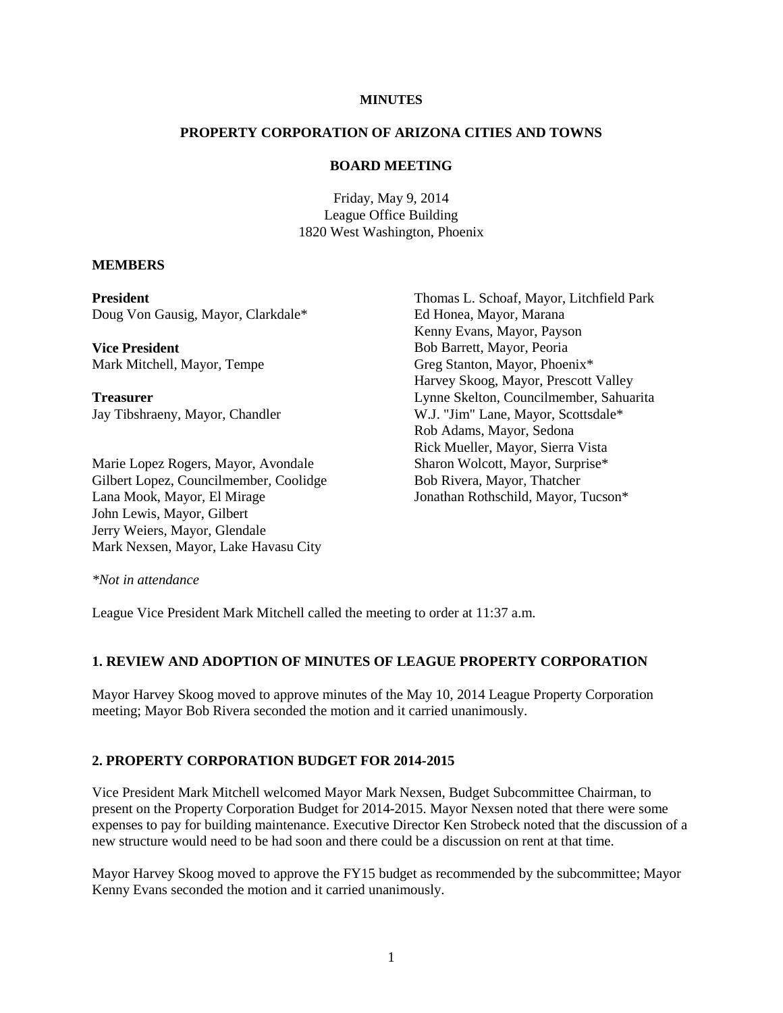# **MINUTES**

### **PROPERTY CORPORATION OF ARIZONA CITIES AND TOWNS**

### **BOARD MEETING**

Friday, May 9, 2014 League Office Building 1820 West Washington, Phoenix

### **MEMBERS**

**President** Doug Von Gausig, Mayor, Clarkdale\*

**Vice President** Mark Mitchell, Mayor, Tempe

**Treasurer** Jay Tibshraeny, Mayor, Chandler

Marie Lopez Rogers, Mayor, Avondale Gilbert Lopez, Councilmember, Coolidge Lana Mook, Mayor, El Mirage John Lewis, Mayor, Gilbert Jerry Weiers, Mayor, Glendale Mark Nexsen, Mayor, Lake Havasu City

Thomas L. Schoaf, Mayor, Litchfield Park Ed Honea, Mayor, Marana Kenny Evans, Mayor, Payson Bob Barrett, Mayor, Peoria Greg Stanton, Mayor, Phoenix\* Harvey Skoog, Mayor, Prescott Valley Lynne Skelton, Councilmember, Sahuarita W.J. "Jim" Lane, Mayor, Scottsdale\* Rob Adams, Mayor, Sedona Rick Mueller, Mayor, Sierra Vista Sharon Wolcott, Mayor, Surprise\* Bob Rivera, Mayor, Thatcher Jonathan Rothschild, Mayor, Tucson\*

*\*Not in attendance* 

League Vice President Mark Mitchell called the meeting to order at 11:37 a.m.

# **1. REVIEW AND ADOPTION OF MINUTES OF LEAGUE PROPERTY CORPORATION**

Mayor Harvey Skoog moved to approve minutes of the May 10, 2014 League Property Corporation meeting; Mayor Bob Rivera seconded the motion and it carried unanimously.

# **2. PROPERTY CORPORATION BUDGET FOR 2014-2015**

Vice President Mark Mitchell welcomed Mayor Mark Nexsen, Budget Subcommittee Chairman, to present on the Property Corporation Budget for 2014-2015. Mayor Nexsen noted that there were some expenses to pay for building maintenance. Executive Director Ken Strobeck noted that the discussion of a new structure would need to be had soon and there could be a discussion on rent at that time.

Mayor Harvey Skoog moved to approve the FY15 budget as recommended by the subcommittee; Mayor Kenny Evans seconded the motion and it carried unanimously.